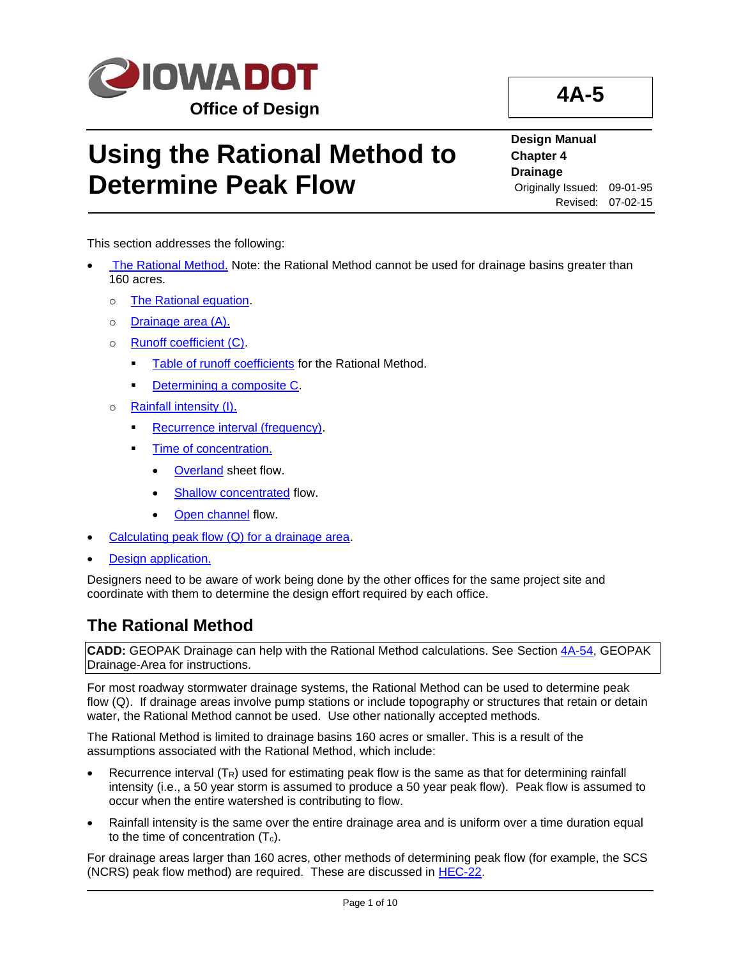

# **Using the Rational Method to Determine Peak Flow**

#### **Design Manual Chapter 4 Drainage** Originally Issued: 09-01-95 Revised: 07-02-15

This section addresses the following:

- [The Rational Method.](#page-0-0) Note: the Rational Method cannot be used for drainage basins greater than 160 acres.
	- o [The Rational equation.](#page-1-0)
	- o [Drainage area \(A\).](#page-1-1)
	- o [Runoff coefficient \(C\).](#page-1-2)
		- **EXECUTE:** [Table of runoff coefficients](#page-2-0) for the Rational Method.
		- [Determining a composite C.](#page-2-1)
	- o [Rainfall intensity \(I\).](#page-2-2)
		- **[Recurrence interval \(frequency\).](#page-3-0)**
		- **[Time of concentration.](#page-4-0)** 
			- **[Overland](#page-5-0)** sheet flow.
			- [Shallow concentrated](#page-6-0) flow.
			- [Open channel](#page-7-0) flow.
- [Calculating peak flow \(Q\) for a drainage area.](#page-9-0)
- [Design application.](#page-9-1)

Designers need to be aware of work being done by the other offices for the same project site and coordinate with them to determine the design effort required by each office.

## <span id="page-0-0"></span>**The Rational Method**

**CADD:** GEOPAK Drainage can help with the Rational Method calculations. See Section [4A-54,](04a-54.pdf) GEOPAK Drainage-Area for instructions.

For most roadway stormwater drainage systems, the Rational Method can be used to determine peak flow (Q). If drainage areas involve pump stations or include topography or structures that retain or detain water, the Rational Method cannot be used. Use other nationally accepted methods.

The Rational Method is limited to drainage basins 160 acres or smaller. This is a result of the assumptions associated with the Rational Method, which include:

- Recurrence interval  $(T_R)$  used for estimating peak flow is the same as that for determining rainfall intensity (i.e., a 50 year storm is assumed to produce a 50 year peak flow). Peak flow is assumed to occur when the entire watershed is contributing to flow.
- Rainfall intensity is the same over the entire drainage area and is uniform over a time duration equal to the time of concentration  $(T_c)$ .

For drainage areas larger than 160 acres, other methods of determining peak flow (for example, the SCS (NCRS) peak flow method) are required. These are discussed in [HEC-22.](http://www.fhwa.dot.gov/engineering/hydraulics/pubs/10009/10009.pdf)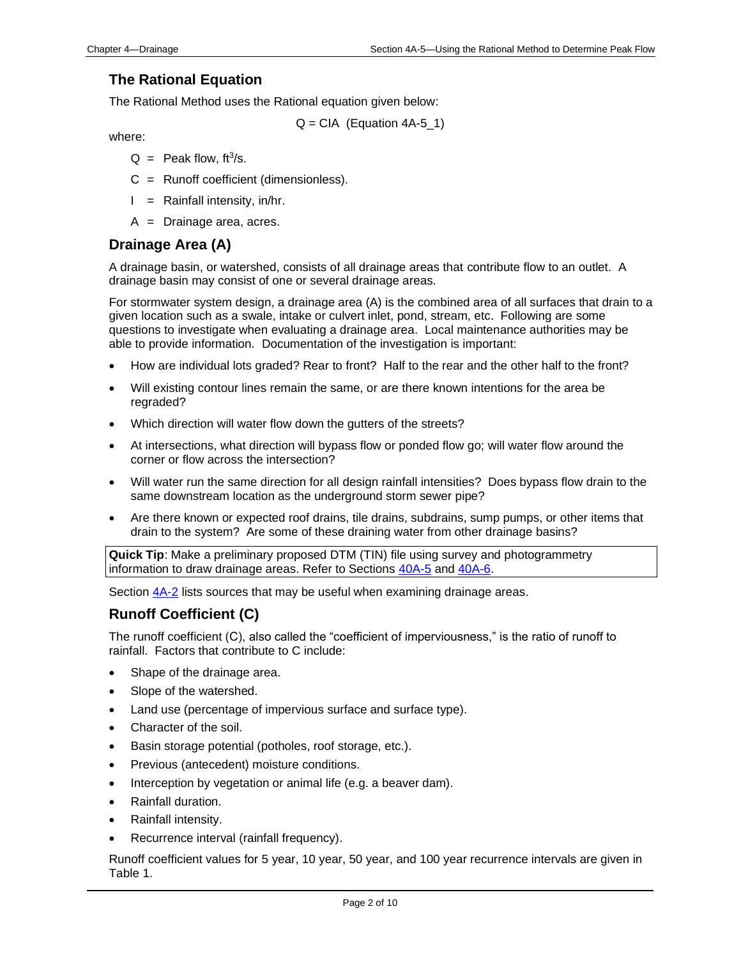## <span id="page-1-0"></span>**The Rational Equation**

The Rational Method uses the Rational equation given below:

 $Q = CIA$  (Equation 4A-5 1)

where:

- $Q =$  Peak flow, ft<sup>3</sup>/s.
- C = Runoff coefficient (dimensionless).
- $I =$  Rainfall intensity, in/hr.
- A = Drainage area, acres.

## <span id="page-1-1"></span>**Drainage Area (A)**

A drainage basin, or watershed, consists of all drainage areas that contribute flow to an outlet. A drainage basin may consist of one or several drainage areas.

For stormwater system design, a drainage area (A) is the combined area of all surfaces that drain to a given location such as a swale, intake or culvert inlet, pond, stream, etc. Following are some questions to investigate when evaluating a drainage area. Local maintenance authorities may be able to provide information. Documentation of the investigation is important:

- How are individual lots graded? Rear to front? Half to the rear and the other half to the front?
- Will existing contour lines remain the same, or are there known intentions for the area be regraded?
- Which direction will water flow down the gutters of the streets?
- At intersections, what direction will bypass flow or ponded flow go; will water flow around the corner or flow across the intersection?
- Will water run the same direction for all design rainfall intensities? Does bypass flow drain to the same downstream location as the underground storm sewer pipe?
- Are there known or expected roof drains, tile drains, subdrains, sump pumps, or other items that drain to the system? Are some of these draining water from other drainage basins?

**Quick Tip**: Make a preliminary proposed DTM (TIN) file using survey and photogrammetry information to draw drainage areas. Refer to Sections [40A-5](40a-05.pdf) and [40A-6.](40a-06.pdf)

Section  $4A-2$  lists sources that may be useful when examining drainage areas.

## <span id="page-1-2"></span>**Runoff Coefficient (C)**

The runoff coefficient (C), also called the "coefficient of imperviousness," is the ratio of runoff to rainfall. Factors that contribute to C include:

- Shape of the drainage area.
- Slope of the watershed.
- Land use (percentage of impervious surface and surface type).
- Character of the soil.
- Basin storage potential (potholes, roof storage, etc.).
- Previous (antecedent) moisture conditions.
- Interception by vegetation or animal life (e.g. a beaver dam).
- Rainfall duration.
- Rainfall intensity.
- Recurrence interval (rainfall frequency).

Runoff coefficient values for 5 year, 10 year, 50 year, and 100 year recurrence intervals are given in Table 1.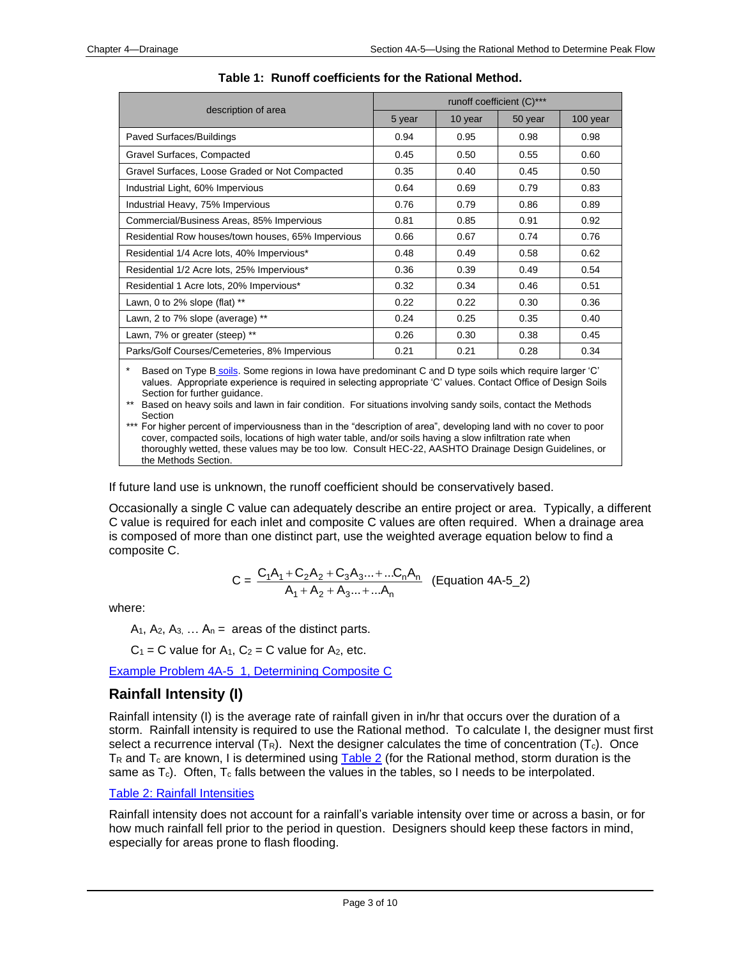<span id="page-2-0"></span>

|                                                    | runoff coefficient (C)*** |         |         |          |
|----------------------------------------------------|---------------------------|---------|---------|----------|
| description of area                                | 5 year                    | 10 year | 50 year | 100 year |
| Paved Surfaces/Buildings                           | 0.94                      | 0.95    | 0.98    | 0.98     |
| Gravel Surfaces, Compacted                         | 0.45                      | 0.50    | 0.55    | 0.60     |
| Gravel Surfaces, Loose Graded or Not Compacted     | 0.35                      | 0.40    | 0.45    | 0.50     |
| Industrial Light, 60% Impervious                   | 0.64                      | 0.69    | 0.79    | 0.83     |
| Industrial Heavy, 75% Impervious                   | 0.76                      | 0.79    | 0.86    | 0.89     |
| Commercial/Business Areas, 85% Impervious          | 0.81                      | 0.85    | 0.91    | 0.92     |
| Residential Row houses/town houses, 65% Impervious | 0.66                      | 0.67    | 0.74    | 0.76     |
| Residential 1/4 Acre lots, 40% Impervious*         | 0.48                      | 0.49    | 0.58    | 0.62     |
| Residential 1/2 Acre lots, 25% Impervious*         | 0.36                      | 0.39    | 0.49    | 0.54     |
| Residential 1 Acre lots, 20% Impervious*           | 0.32                      | 0.34    | 0.46    | 0.51     |
| Lawn, 0 to 2% slope (flat) $**$                    | 0.22                      | 0.22    | 0.30    | 0.36     |
| Lawn, 2 to 7% slope (average) **                   | 0.24                      | 0.25    | 0.35    | 0.40     |
| Lawn, 7% or greater (steep) **                     | 0.26                      | 0.30    | 0.38    | 0.45     |
| Parks/Golf Courses/Cemeteries, 8% Impervious       | 0.21                      | 0.21    | 0.28    | 0.34     |

**Table 1: Runoff coefficients for the Rational Method.**

Based on [Type B](04a-05/The_Hydrologic_Soil_Groups.pdf) soils. Some regions in Iowa have predominan[t C and D type soils](04a-05/The%20hydrologic%20soil%20groups.pdf) which require larger 'C' values. Appropriate experience is required in selecting appropriate 'C' values. Contact Office of Design Soils Section for further guidance.

\*\* Based on heavy soils and lawn in fair condition. For situations involving sandy soils, contact the Methods Section

\*\*\* For higher percent of imperviousness than in the "description of area", developing land with no cover to poor cover, compacted soils, locations of high water table, and/or soils having a slow infiltration rate when thoroughly wetted, these values may be too low. Consult HEC-22, AASHTO Drainage Design Guidelines, or the Methods Section.

If future land use is unknown, the runoff coefficient should be conservatively based.

<span id="page-2-1"></span>Occasionally a single C value can adequately describe an entire project or area. Typically, a different C value is required for each inlet and composite C values are often required. When a drainage area is composed of more than one distinct part, use the weighted average equation below to find a composite C.

$$
C = \frac{C_1A_1 + C_2A_2 + C_3A_3... + ...C_nA_n}{A_1 + A_2 + A_3... + ...A_n}
$$
 (Equation 4A-5\_2)

where:

 $A_1$ ,  $A_2$ ,  $A_3$ ,  $\ldots$   $A_n$  = areas of the distinct parts.

 $C_1 = C$  value for  $A_1$ ,  $C_2 = C$  value for  $A_2$ , etc.

[Example Problem 4A-5\\_1, Determining Composite C](04a-05/Example_4A-5_1.pdf)

## <span id="page-2-2"></span>**Rainfall Intensity (I)**

Rainfall intensity (I) is the average rate of rainfall given in in/hr that occurs over the duration of a storm. Rainfall intensity is required to use the Rational method. To calculate I, the designer must first select a recurrence interval  $(T_R)$ . Next the designer calculates the time of concentration  $(T_c)$ . Once T<sub>R</sub> and T<sub>c</sub> are known, I is determined using  $Table 2$  (for the Rational method, storm duration is the same as  $T_c$ ). Often,  $T_c$  falls between the values in the tables, so I needs to be interpolated.

#### [Table 2: Rainfall Intensities](04a-05/Table_2.pdf)

Rainfall intensity does not account for a rainfall's variable intensity over time or across a basin, or for how much rainfall fell prior to the period in question. Designers should keep these factors in mind, especially for areas prone to flash flooding.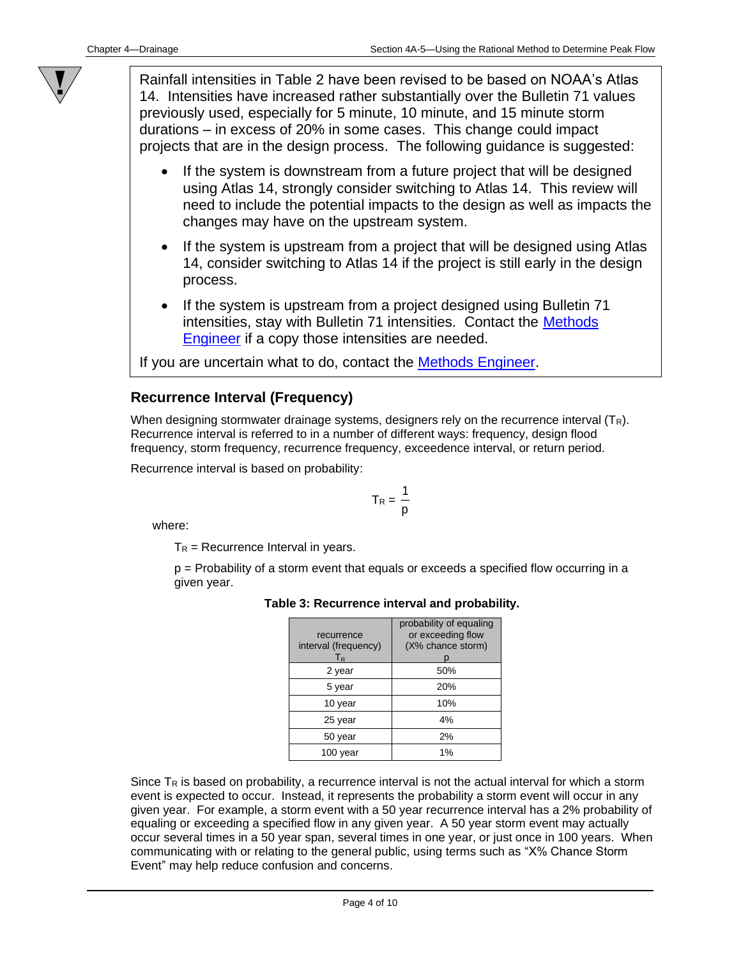Rainfall intensities in Table 2 have been revised to be based on NOAA's Atlas 14. Intensities have increased rather substantially over the Bulletin 71 values previously used, especially for 5 minute, 10 minute, and 15 minute storm durations – in excess of 20% in some cases. This change could impact projects that are in the design process. The following guidance is suggested:

- If the system is downstream from a future project that will be designed using Atlas 14, strongly consider switching to Atlas 14. This review will need to include the potential impacts to the design as well as impacts the changes may have on the upstream system.
- If the system is upstream from a project that will be designed using Atlas 14, consider switching to Atlas 14 if the project is still early in the design process.
- If the system is upstream from a project designed using Bulletin 71 intensities, stay with Bulletin 71 intensities. Contact the [Methods](01b-02/MethodsEngineer.pdf)  [Engineer](01b-02/MethodsEngineer.pdf) if a copy those intensities are needed.

If you are uncertain what to do, contact the [Methods Engineer.](01b-02/MethodsEngineer.pdf)

### <span id="page-3-0"></span>**Recurrence Interval (Frequency)**

When designing stormwater drainage systems, designers rely on the recurrence interval  $(T_R)$ . Recurrence interval is referred to in a number of different ways: frequency, design flood frequency, storm frequency, recurrence frequency, exceedence interval, or return period.

Recurrence interval is based on probability:

$$
T_R = \frac{1}{p}
$$

where:

 $T_R$  = Recurrence Interval in years.

p = Probability of a storm event that equals or exceeds a specified flow occurring in a given year.

| recurrence<br>interval (frequency)<br>$T_{\sf R}$ | probability of equaling<br>or exceeding flow<br>(X% chance storm) |
|---------------------------------------------------|-------------------------------------------------------------------|
| 2 year                                            | 50%                                                               |
| 5 year                                            | 20%                                                               |
| 10 year                                           | 10%                                                               |
| 25 year                                           | 4%                                                                |
| 50 year                                           | 2%                                                                |
| 100 vear                                          | 1%                                                                |

#### **Table 3: Recurrence interval and probability.**

Since  $T_R$  is based on probability, a recurrence interval is not the actual interval for which a storm event is expected to occur. Instead, it represents the probability a storm event will occur in any given year. For example, a storm event with a 50 year recurrence interval has a 2% probability of equaling or exceeding a specified flow in any given year. A 50 year storm event may actually occur several times in a 50 year span, several times in one year, or just once in 100 years. When communicating with or relating to the general public, using terms such as "X% Chance Storm Event" may help reduce confusion and concerns.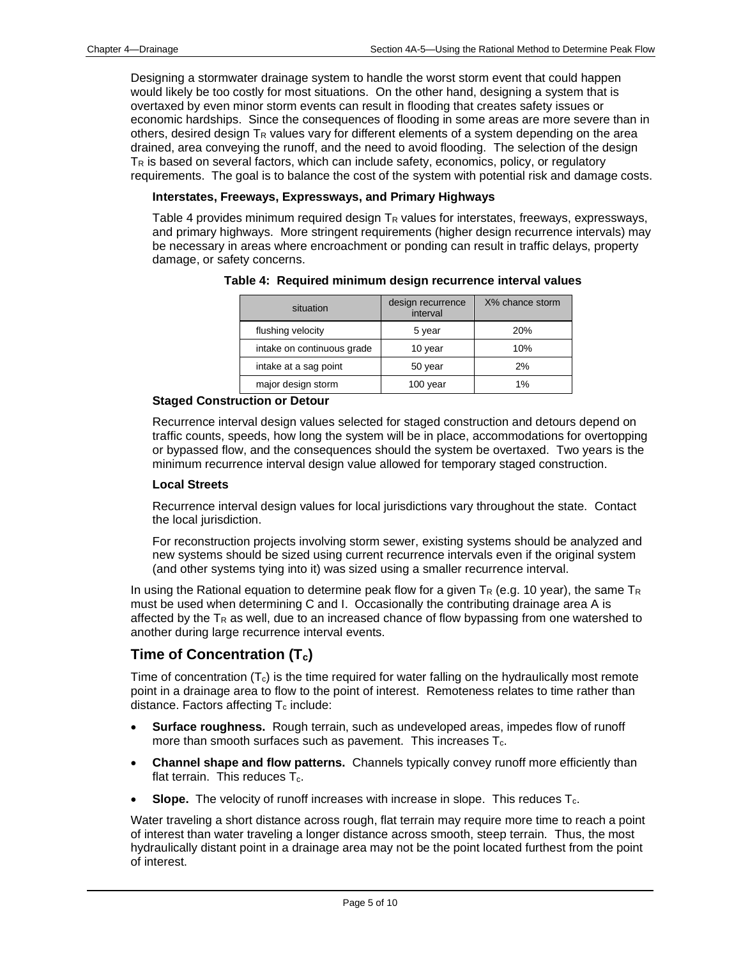Designing a stormwater drainage system to handle the worst storm event that could happen would likely be too costly for most situations. On the other hand, designing a system that is overtaxed by even minor storm events can result in flooding that creates safety issues or economic hardships. Since the consequences of flooding in some areas are more severe than in others, desired design T<sub>R</sub> values vary for different elements of a system depending on the area drained, area conveying the runoff, and the need to avoid flooding. The selection of the design T<sup>R</sup> is based on several factors, which can include safety, economics, policy, or regulatory requirements. The goal is to balance the cost of the system with potential risk and damage costs.

#### **Interstates, Freeways, Expressways, and Primary Highways**

Table 4 provides minimum required design  $T_R$  values for interstates, freeways, expressways, and primary highways. More stringent requirements (higher design recurrence intervals) may be necessary in areas where encroachment or ponding can result in traffic delays, property damage, or safety concerns.

| situation                  | design recurrence<br>interval | X% chance storm |
|----------------------------|-------------------------------|-----------------|
| flushing velocity          | 5 year                        | 20%             |
| intake on continuous grade | 10 year                       | 10%             |
| intake at a sag point      | 50 year                       | 2%              |
| major design storm         | 100 year                      | 1%              |

**Table 4: Required minimum design recurrence interval values**

#### **Staged Construction or Detour**

Recurrence interval design values selected for staged construction and detours depend on traffic counts, speeds, how long the system will be in place, accommodations for overtopping or bypassed flow, and the consequences should the system be overtaxed. Two years is the minimum recurrence interval design value allowed for temporary staged construction.

#### **Local Streets**

Recurrence interval design values for local jurisdictions vary throughout the state. Contact the local jurisdiction.

For reconstruction projects involving storm sewer, existing systems should be analyzed and new systems should be sized using current recurrence intervals even if the original system (and other systems tying into it) was sized using a smaller recurrence interval.

In using the Rational equation to determine peak flow for a given  $T_R$  (e.g. 10 year), the same  $T_R$ must be used when determining C and I. Occasionally the contributing drainage area A is affected by the  $T_R$  as well, due to an increased chance of flow bypassing from one watershed to another during large recurrence interval events.

## <span id="page-4-0"></span>**Time of Concentration (Tc)**

Time of concentration  $(T_c)$  is the time required for water falling on the hydraulically most remote point in a drainage area to flow to the point of interest. Remoteness relates to time rather than distance. Factors affecting  $T_c$  include:

- **Surface roughness.** Rough terrain, such as undeveloped areas, impedes flow of runoff more than smooth surfaces such as pavement. This increases  $T_c$ .
- **Channel shape and flow patterns.** Channels typically convey runoff more efficiently than flat terrain. This reduces  $T_c$ .
- **Slope.** The velocity of runoff increases with increase in slope. This reduces T<sub>c</sub>.

Water traveling a short distance across rough, flat terrain may require more time to reach a point of interest than water traveling a longer distance across smooth, steep terrain. Thus, the most hydraulically distant point in a drainage area may not be the point located furthest from the point of interest.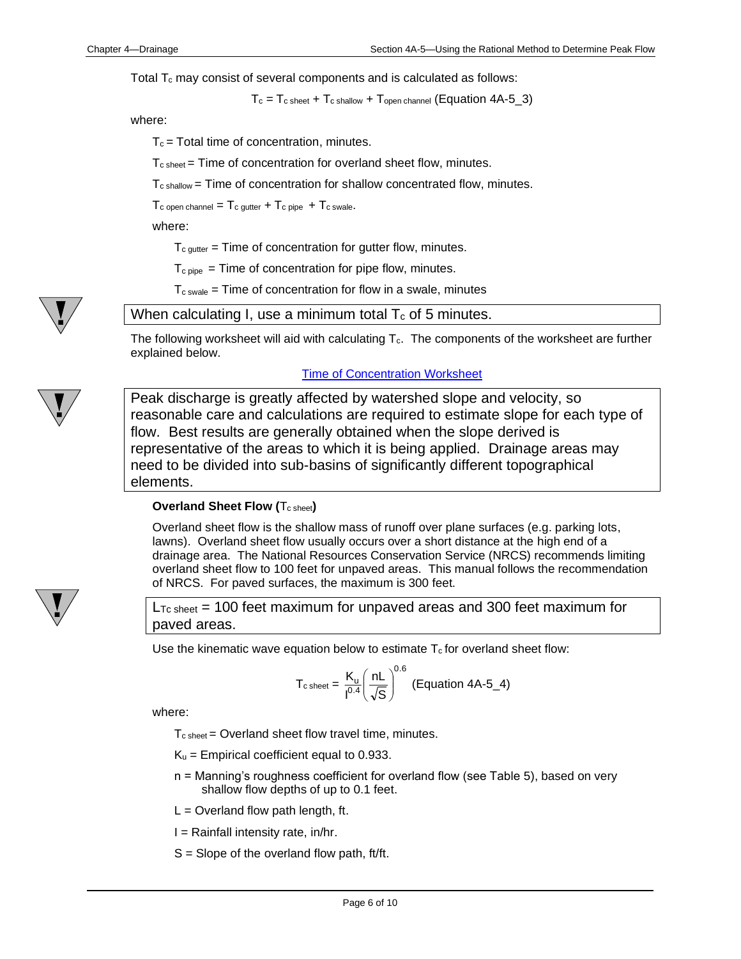Total  $T_c$  may consist of several components and is calculated as follows:

 $T_c = T_c$  sheet  $+ T_c$  shallow  $+ T_{open \, channel}$  (Equation 4A-5\_3)

where:

 $T_c$  = Total time of concentration, minutes.

Tc sheet = Time of concentration for overland sheet flow, minutes.

 $T_{c}$  shallow = Time of concentration for shallow concentrated flow, minutes.

 $T_c$  open channel =  $T_c$  gutter +  $T_c$  pipe +  $T_c$  swale.

where:

 $T_{c\,\text{outer}}$  = Time of concentration for gutter flow, minutes.

 $T_{\text{c pipe}}$  = Time of concentration for pipe flow, minutes.

 $T_{\text{c} \text{swale}}$  = Time of concentration for flow in a swale, minutes

When calculating I, use a minimum total  $T_c$  of 5 minutes.

The following worksheet will aid with calculating  $T_c$ . The components of the worksheet are further explained below.

[Time of Concentration Worksheet](04a-05/TOC_Worksheet.pdf)

Peak discharge is greatly affected by watershed slope and velocity, so reasonable care and calculations are required to estimate slope for each type of flow. Best results are generally obtained when the slope derived is representative of the areas to which it is being applied. Drainage areas may need to be divided into sub-basins of significantly different topographical elements.

#### <span id="page-5-0"></span>**Overland Sheet Flow (T<sub>c sheet</sub>)**

Overland sheet flow is the shallow mass of runoff over plane surfaces (e.g. parking lots, lawns). Overland sheet flow usually occurs over a short distance at the high end of a drainage area. The National Resources Conservation Service (NRCS) recommends limiting overland sheet flow to 100 feet for unpaved areas. This manual follows the recommendation of NRCS. For paved surfaces, the maximum is 300 feet.

 $L_{\text{To sheet}}$  = 100 feet maximum for unpaved areas and 300 feet maximum for paved areas.

Use the kinematic wave equation below to estimate  $T_c$  for overland sheet flow:

$$
T_{\text{c sheet}} = \frac{K_{\text{u}}}{I^{0.4}} \left(\frac{nL}{\sqrt{S}}\right)^{0.6} \text{ (Equation 4A-5_4)}
$$

where:

 $T_{\text{c sheet}}$  = Overland sheet flow travel time, minutes.

- $K_u$  = Empirical coefficient equal to 0.933.
- n = Manning's roughness coefficient for overland flow (see Table 5), based on very shallow flow depths of up to 0.1 feet.
- $L =$  Overland flow path length, ft.
- $I =$  Rainfall intensity rate, in/hr.
- $S =$  Slope of the overland flow path, ft/ft.

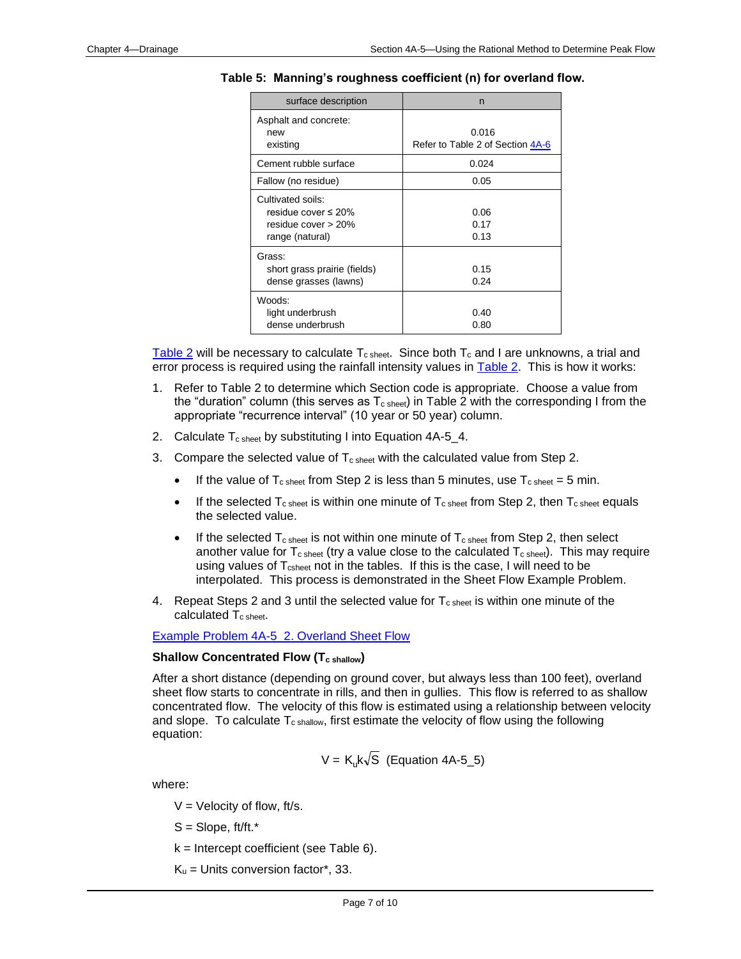| surface description                                                                      | n                                         |
|------------------------------------------------------------------------------------------|-------------------------------------------|
| Asphalt and concrete:<br>new<br>existing                                                 | 0.016<br>Refer to Table 2 of Section 4A-6 |
| Cement rubble surface                                                                    | 0.024                                     |
| Fallow (no residue)                                                                      | 0.05                                      |
| Cultivated soils:<br>residue cover $\leq 20\%$<br>residue cover > 20%<br>range (natural) | 0.06<br>0.17<br>0.13                      |
| Grass:<br>short grass prairie (fields)<br>dense grasses (lawns)                          | 0.15<br>0.24                              |
| Woods:<br>light underbrush<br>dense underbrush                                           | 0.40<br>0.80                              |

**Table 5: Manning's roughness coefficient (n) for overland flow.**

[Table 2](04a-05/Table_2.pdf) will be necessary to calculate  $T_{c \; sheet}$ . Since both  $T_{c}$  and I are unknowns, a trial and error process is required using the rainfall intensity values in **Table 2.** This is how it works:

- 1. Refer to Table 2 to determine which Section code is appropriate. Choose a value from the "duration" column (this serves as  $T_{c \text{ sheet}}$ ) in Table 2 with the corresponding I from the appropriate "recurrence interval" (10 year or 50 year) column.
- 2. Calculate  $T_{\text{c sheet}}$  by substituting I into Equation 4A-5\_4.
- 3. Compare the selected value of  $T_{c sheet}$  with the calculated value from Step 2.
	- If the value of  $T_{\text{c sheet}}$  from Step 2 is less than 5 minutes, use  $T_{\text{c sheet}} = 5$  min.
	- If the selected  $T_{\text{c sheet}}$  is within one minute of  $T_{\text{c sheet}}$  from Step 2, then  $T_{\text{c sheet}}$  equals the selected value.
	- If the selected  $T_{c}$  sheet is not within one minute of  $T_{c}$  sheet from Step 2, then select another value for  $T_{\text{c sheet}}$  (try a value close to the calculated  $T_{\text{c sheet}}$ ). This may require using values of T<sub>csheet</sub> not in the tables. If this is the case, I will need to be interpolated. This process is demonstrated in the Sheet Flow Example Problem.
- 4. Repeat Steps 2 and 3 until the selected value for  $T_{\text{c sheet}}$  is within one minute of the calculated T<sub>c sheet</sub>.

[Example Problem 4A-5\\_2. Overland Sheet Flow](04a-05/Example_4A-5_2.pdf)

#### <span id="page-6-0"></span>**Shallow Concentrated Flow (Tc shallow)**

After a short distance (depending on ground cover, but always less than 100 feet), overland sheet flow starts to concentrate in rills, and then in gullies. This flow is referred to as shallow concentrated flow. The velocity of this flow is estimated using a relationship between velocity and slope. To calculate  $T_{c \text{ shallow}}$ , first estimate the velocity of flow using the following equation:

$$
V = K_{u}k\sqrt{S}
$$
 (Equation 4A-5\_5)

where:

- $V =$  Velocity of flow, ft/s.
- $S =$ Slope, ft/ft. $*$
- $k =$  Intercept coefficient (see Table 6).
- $K_u$  = Units conversion factor\*, 33.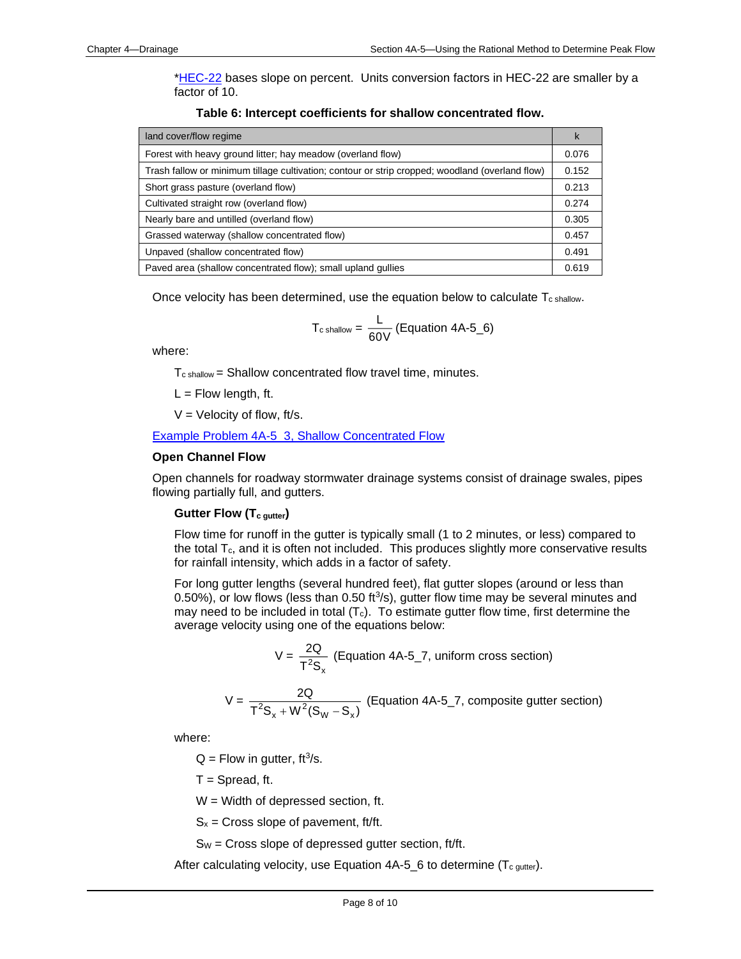[\\*HEC-22](http://www.fhwa.dot.gov/engineering/hydraulics/pubs/10009/10009.pdf) bases slope on percent. Units conversion factors in HEC-22 are smaller by a factor of 10.

| land cover/flow regime                                                                          | k     |
|-------------------------------------------------------------------------------------------------|-------|
| Forest with heavy ground litter; hay meadow (overland flow)                                     | 0.076 |
| Trash fallow or minimum tillage cultivation; contour or strip cropped; woodland (overland flow) | 0.152 |
| Short grass pasture (overland flow)                                                             | 0.213 |
| Cultivated straight row (overland flow)                                                         | 0.274 |
| Nearly bare and untilled (overland flow)                                                        | 0.305 |
| Grassed waterway (shallow concentrated flow)                                                    | 0.457 |
| Unpaved (shallow concentrated flow)                                                             | 0.491 |
| Paved area (shallow concentrated flow); small upland gullies                                    | 0.619 |

**Table 6: Intercept coefficients for shallow concentrated flow.**

Once velocity has been determined, use the equation below to calculate  $T_{c \text{ shallow}}$ .

$$
T_{\text{c shallow}} = \frac{L}{60V} \text{ (Equation 4A-5_6)}
$$

where:

 $T_{c \, shallow}$  = Shallow concentrated flow travel time, minutes.

 $L =$  Flow length, ft.

 $V =$  Velocity of flow, ft/s.

[Example Problem 4A-5\\_3, Shallow Concentrated Flow](04a-05/Example_4A-5_3.pdf)

#### <span id="page-7-0"></span>**Open Channel Flow**

Open channels for roadway stormwater drainage systems consist of drainage swales, pipes flowing partially full, and gutters.

#### **Gutter Flow (Tc gutter)**

Flow time for runoff in the gutter is typically small (1 to 2 minutes, or less) compared to the total  $T_c$ , and it is often not included. This produces slightly more conservative results for rainfall intensity, which adds in a factor of safety.

For long gutter lengths (several hundred feet), flat gutter slopes (around or less than  $0.50\%$ ), or low flows (less than  $0.50$  ft $3/$ s), gutter flow time may be several minutes and may need to be included in total  $(T_c)$ . To estimate gutter flow time, first determine the average velocity using one of the equations below:

$$
V = \frac{2Q}{T^2S_x}
$$
 (Equation 4A-5\_7, uniform cross section)

$$
V = \frac{2Q}{T^2S_x + W^2(S_w - S_x)}
$$
 (Equation 4A-5\_7, composite gutter section)

where:

 $Q =$  Flow in gutter, ft<sup>3</sup>/s.

 $T =$  Spread, ft.

W = Width of depressed section, ft.

 $S_x$  = Cross slope of pavement, ft/ft.

 $S_W =$  Cross slope of depressed gutter section, ft/ft.

After calculating velocity, use Equation  $4A-5_6$  to determine (T<sub>c gutter</sub>).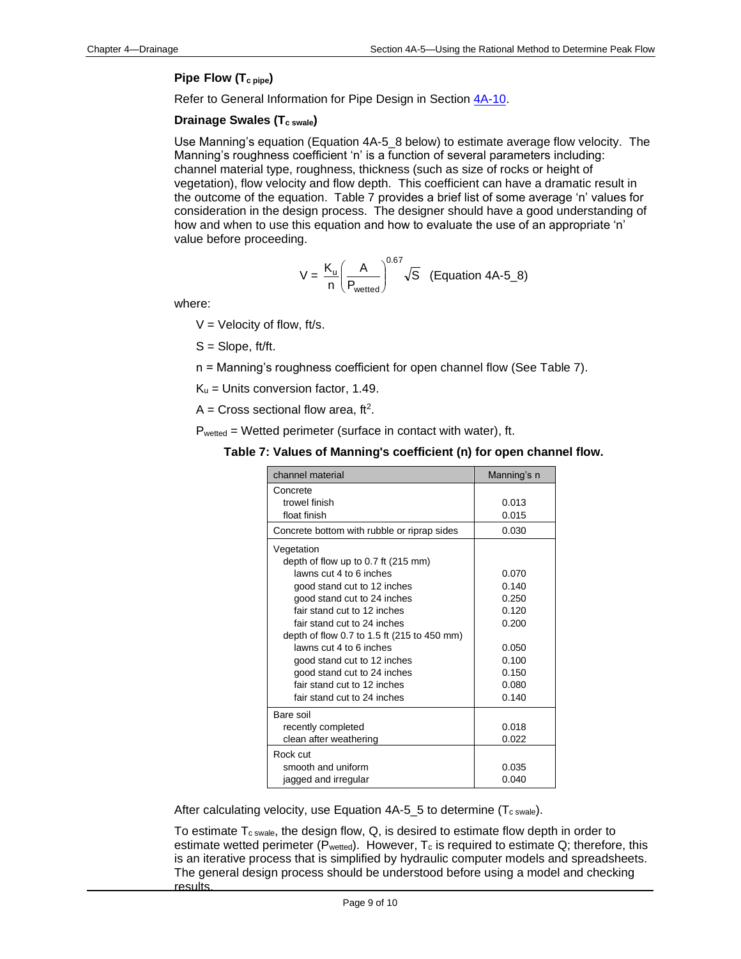#### **Pipe Flow (Tc pipe)**

Refer to General Information for Pipe Design in Section [4A-10.](04a-10.pdf)

#### **Drainage Swales (Tc swale)**

Use Manning's equation (Equation 4A-5\_8 below) to estimate average flow velocity. The Manning's roughness coefficient 'n' is a function of several parameters including: channel material type, roughness, thickness (such as size of rocks or height of vegetation), flow velocity and flow depth. This coefficient can have a dramatic result in the outcome of the equation. Table 7 provides a brief list of some average 'n' values for consideration in the design process. The designer should have a good understanding of how and when to use this equation and how to evaluate the use of an appropriate 'n' value before proceeding.

$$
V = \frac{K_{u}}{n} \left(\frac{A}{P_{wetted}}\right)^{0.67} \sqrt{S} \quad \text{(Equation 4A-5_8)}
$$

where:

 $V =$  Velocity of flow, ft/s.

S = Slope, ft/ft.

n = Manning's roughness coefficient for open channel flow (See Table 7).

 $K_u$  = Units conversion factor, 1.49.

A = Cross sectional flow area, ft<sup>2</sup>.

Pwetted = Wetted perimeter (surface in contact with water), ft.

| channel material                            | Manning's n |
|---------------------------------------------|-------------|
| Concrete                                    |             |
| trowel finish                               | 0.013       |
| float finish                                | 0.015       |
| Concrete bottom with rubble or riprap sides | 0.030       |
| Vegetation                                  |             |
| depth of flow up to 0.7 ft (215 mm)         |             |
| lawns cut 4 to 6 inches                     | 0.070       |
| good stand cut to 12 inches                 | 0.140       |
| good stand cut to 24 inches                 | 0.250       |
| fair stand cut to 12 inches                 | 0.120       |
| fair stand cut to 24 inches                 | 0.200       |
| depth of flow 0.7 to 1.5 ft (215 to 450 mm) |             |
| lawns cut 4 to 6 inches                     | 0.050       |
| good stand cut to 12 inches                 | 0.100       |
| good stand cut to 24 inches                 | 0.150       |
| fair stand cut to 12 inches                 | 0.080       |
| fair stand cut to 24 inches                 | 0.140       |
| Bare soil                                   |             |
| recently completed                          | 0.018       |
| clean after weathering                      | 0.022       |
| Rock cut                                    |             |
| smooth and uniform                          | 0.035       |
| jagged and irregular                        | 0.040       |

After calculating velocity, use Equation  $4A-5_5$  to determine (T<sub>c swale</sub>).

To estimate  $T_{\text{c swale}}$ , the design flow, Q, is desired to estimate flow depth in order to estimate wetted perimeter ( $\overline{P}_{wetted}$ ). However,  $T_c$  is required to estimate Q; therefore, this is an iterative process that is simplified by hydraulic computer models and spreadsheets. The general design process should be understood before using a model and checking results.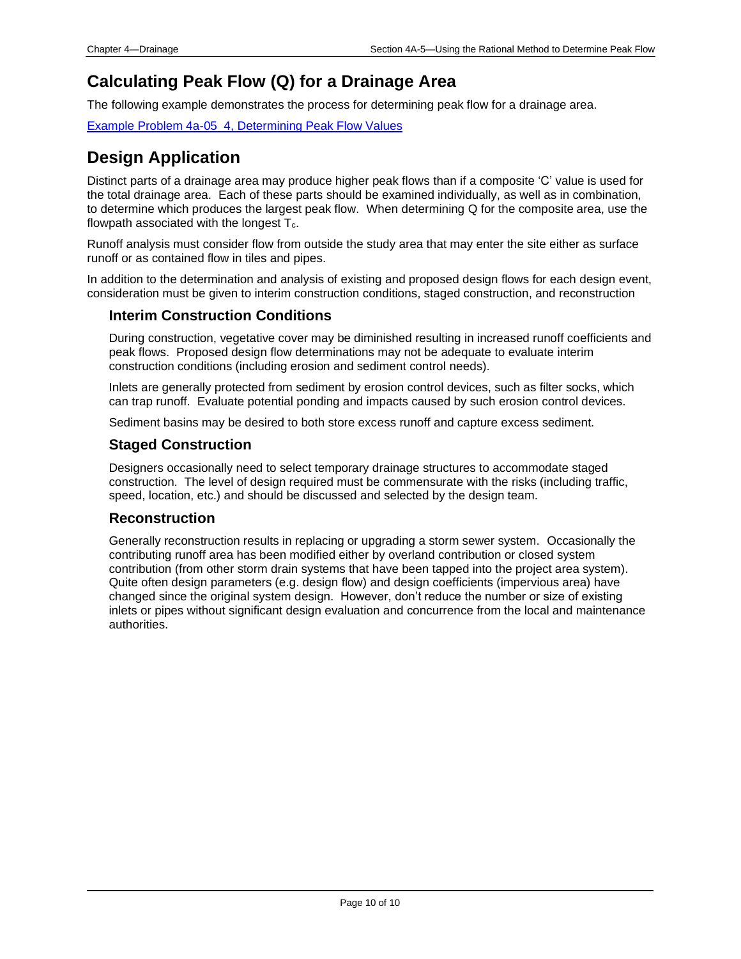## <span id="page-9-0"></span>**Calculating Peak Flow (Q) for a Drainage Area**

The following example demonstrates the process for determining peak flow for a drainage area.

[Example Problem 4a-05\\_4, Determining Peak Flow Values](04a-05/Example_4A-5_4.pdf)

## <span id="page-9-1"></span>**Design Application**

Distinct parts of a drainage area may produce higher peak flows than if a composite 'C' value is used for the total drainage area. Each of these parts should be examined individually, as well as in combination, to determine which produces the largest peak flow. When determining Q for the composite area, use the flowpath associated with the longest  $T_c$ .

Runoff analysis must consider flow from outside the study area that may enter the site either as surface runoff or as contained flow in tiles and pipes.

In addition to the determination and analysis of existing and proposed design flows for each design event, consideration must be given to interim construction conditions, staged construction, and reconstruction

### **Interim Construction Conditions**

During construction, vegetative cover may be diminished resulting in increased runoff coefficients and peak flows. Proposed design flow determinations may not be adequate to evaluate interim construction conditions (including erosion and sediment control needs).

Inlets are generally protected from sediment by erosion control devices, such as filter socks, which can trap runoff. Evaluate potential ponding and impacts caused by such erosion control devices.

Sediment basins may be desired to both store excess runoff and capture excess sediment.

### **Staged Construction**

Designers occasionally need to select temporary drainage structures to accommodate staged construction. The level of design required must be commensurate with the risks (including traffic, speed, location, etc.) and should be discussed and selected by the design team.

#### **Reconstruction**

Generally reconstruction results in replacing or upgrading a storm sewer system. Occasionally the contributing runoff area has been modified either by overland contribution or closed system contribution (from other storm drain systems that have been tapped into the project area system). Quite often design parameters (e.g. design flow) and design coefficients (impervious area) have changed since the original system design. However, don't reduce the number or size of existing inlets or pipes without significant design evaluation and concurrence from the local and maintenance authorities.